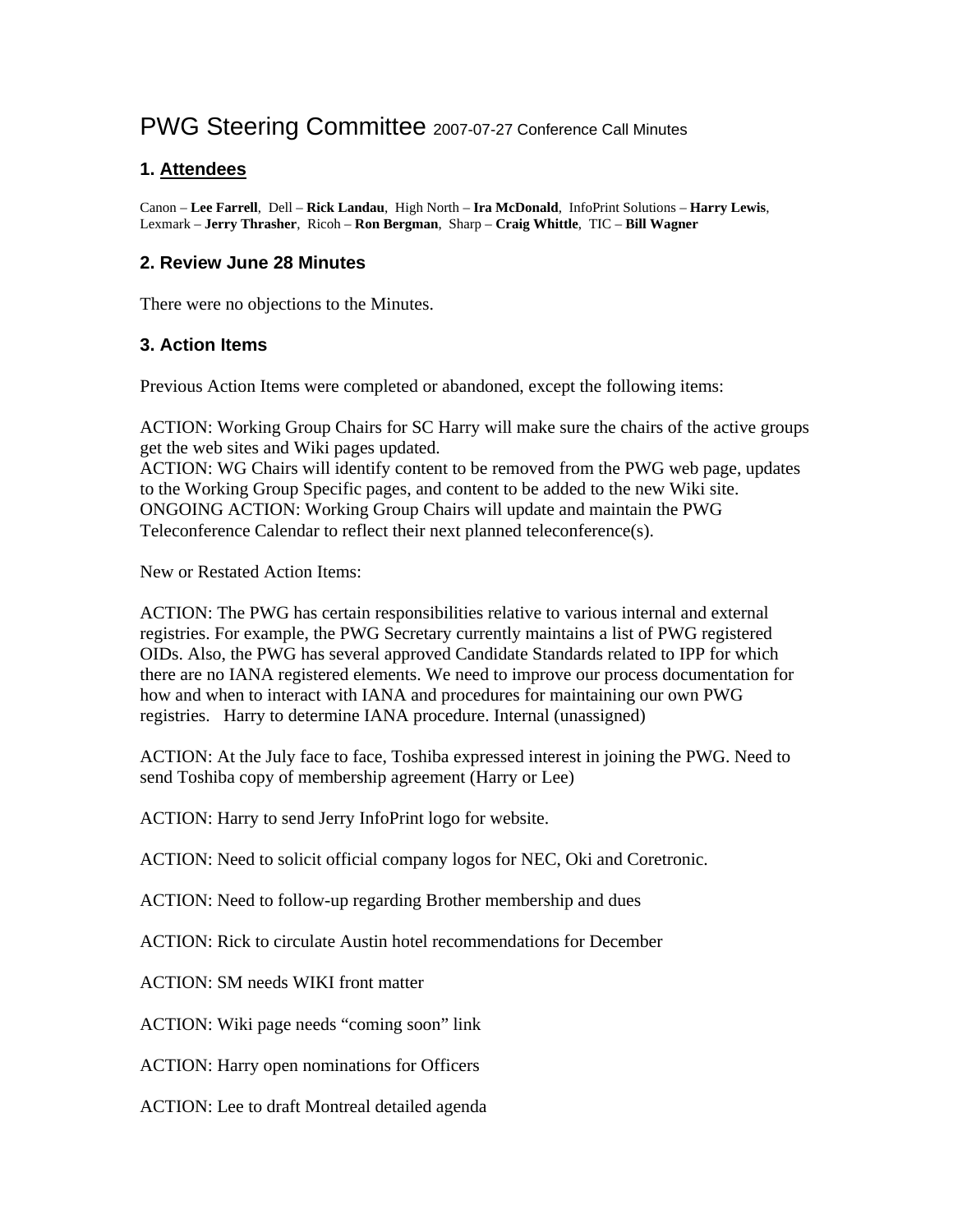# PWG Steering Committee 2007-07-27 Conference Call Minutes

### **1. Attendees**

Canon – **Lee Farrell**, Dell – **Rick Landau**, High North – **Ira McDonald**, InfoPrint Solutions – **Harry Lewis**, Lexmark – **Jerry Thrasher**, Ricoh – **Ron Bergman**, Sharp – **Craig Whittle**, TIC – **Bill Wagner**

#### **2. Review June 28 Minutes**

There were no objections to the Minutes.

### **3. Action Items**

Previous Action Items were completed or abandoned, except the following items:

ACTION: Working Group Chairs for SC Harry will make sure the chairs of the active groups get the web sites and Wiki pages updated.

ACTION: WG Chairs will identify content to be removed from the PWG web page, updates to the Working Group Specific pages, and content to be added to the new Wiki site. ONGOING ACTION: Working Group Chairs will update and maintain the PWG Teleconference Calendar to reflect their next planned teleconference(s).

New or Restated Action Items:

ACTION: The PWG has certain responsibilities relative to various internal and external registries. For example, the PWG Secretary currently maintains a list of PWG registered OIDs. Also, the PWG has several approved Candidate Standards related to IPP for which there are no IANA registered elements. We need to improve our process documentation for how and when to interact with IANA and procedures for maintaining our own PWG registries. Harry to determine IANA procedure. Internal (unassigned)

ACTION: At the July face to face, Toshiba expressed interest in joining the PWG. Need to send Toshiba copy of membership agreement (Harry or Lee)

ACTION: Harry to send Jerry InfoPrint logo for website.

ACTION: Need to solicit official company logos for NEC, Oki and Coretronic.

ACTION: Need to follow-up regarding Brother membership and dues

ACTION: Rick to circulate Austin hotel recommendations for December

ACTION: SM needs WIKI front matter

ACTION: Wiki page needs "coming soon" link

ACTION: Harry open nominations for Officers

ACTION: Lee to draft Montreal detailed agenda